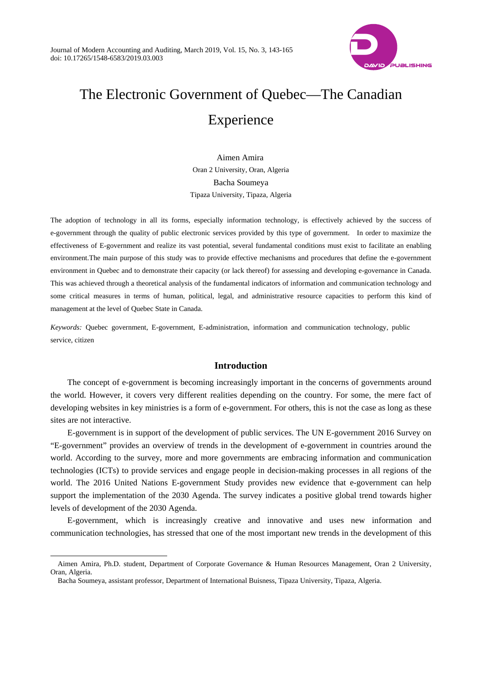

# The Electronic Government of Quebec—The Canadian Experience

Aimen Amira Oran 2 University, Oran, Algeria Bacha Soumeya Tipaza University, Tipaza, Algeria

The adoption of technology in all its forms, especially information technology, is effectively achieved by the success of e-government through the quality of public electronic services provided by this type of government. In order to maximize the effectiveness of E-government and realize its vast potential, several fundamental conditions must exist to facilitate an enabling environment.The main purpose of this study was to provide effective mechanisms and procedures that define the e-government environment in Quebec and to demonstrate their capacity (or lack thereof) for assessing and developing e-governance in Canada. This was achieved through a theoretical analysis of the fundamental indicators of information and communication technology and some critical measures in terms of human, political, legal, and administrative resource capacities to perform this kind of management at the level of Quebec State in Canada.

*Keywords:* Quebec government, E-government, E-administration, information and communication technology, public service, citizen

# **Introduction**

The concept of e-government is becoming increasingly important in the concerns of governments around the world. However, it covers very different realities depending on the country. For some, the mere fact of developing websites in key ministries is a form of e-government. For others, this is not the case as long as these sites are not interactive.

E-government is in support of the development of public services. The UN E-government 2016 Survey on "E-government" provides an overview of trends in the development of e-government in countries around the world. According to the survey, more and more governments are embracing information and communication technologies (ICTs) to provide services and engage people in decision-making processes in all regions of the world. The 2016 United Nations E-government Study provides new evidence that e-government can help support the implementation of the 2030 Agenda. The survey indicates a positive global trend towards higher levels of development of the 2030 Agenda.

E-government, which is increasingly creative and innovative and uses new information and communication technologies, has stressed that one of the most important new trends in the development of this

 $\overline{a}$ 

Aimen Amira, Ph.D. student, Department of Corporate Governance & Human Resources Management, Oran 2 University, Oran, Algeria.

Bacha Soumeya, assistant professor, Department of International Buisness, Tipaza University, Tipaza, Algeria.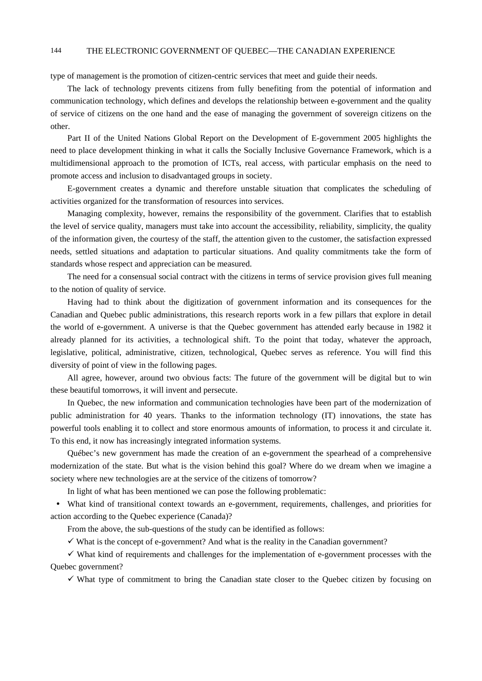type of management is the promotion of citizen-centric services that meet and guide their needs.

The lack of technology prevents citizens from fully benefiting from the potential of information and communication technology, which defines and develops the relationship between e-government and the quality of service of citizens on the one hand and the ease of managing the government of sovereign citizens on the other.

Part II of the United Nations Global Report on the Development of E-government 2005 highlights the need to place development thinking in what it calls the Socially Inclusive Governance Framework, which is a multidimensional approach to the promotion of ICTs, real access, with particular emphasis on the need to promote access and inclusion to disadvantaged groups in society.

E-government creates a dynamic and therefore unstable situation that complicates the scheduling of activities organized for the transformation of resources into services.

Managing complexity, however, remains the responsibility of the government. Clarifies that to establish the level of service quality, managers must take into account the accessibility, reliability, simplicity, the quality of the information given, the courtesy of the staff, the attention given to the customer, the satisfaction expressed needs, settled situations and adaptation to particular situations. And quality commitments take the form of standards whose respect and appreciation can be measured.

The need for a consensual social contract with the citizens in terms of service provision gives full meaning to the notion of quality of service.

Having had to think about the digitization of government information and its consequences for the Canadian and Quebec public administrations, this research reports work in a few pillars that explore in detail the world of e-government. A universe is that the Quebec government has attended early because in 1982 it already planned for its activities, a technological shift. To the point that today, whatever the approach, legislative, political, administrative, citizen, technological, Quebec serves as reference. You will find this diversity of point of view in the following pages.

All agree, however, around two obvious facts: The future of the government will be digital but to win these beautiful tomorrows, it will invent and persecute.

In Quebec, the new information and communication technologies have been part of the modernization of public administration for 40 years. Thanks to the information technology (IT) innovations, the state has powerful tools enabling it to collect and store enormous amounts of information, to process it and circulate it. To this end, it now has increasingly integrated information systems.

Québec's new government has made the creation of an e-government the spearhead of a comprehensive modernization of the state. But what is the vision behind this goal? Where do we dream when we imagine a society where new technologies are at the service of the citizens of tomorrow?

In light of what has been mentioned we can pose the following problematic:

 What kind of transitional context towards an e-government, requirements, challenges, and priorities for action according to the Quebec experience (Canada)?

From the above, the sub-questions of the study can be identified as follows:

 $\checkmark$  What is the concept of e-government? And what is the reality in the Canadian government?

 $\checkmark$  What kind of requirements and challenges for the implementation of e-government processes with the Quebec government?

 $\checkmark$  What type of commitment to bring the Canadian state closer to the Quebec citizen by focusing on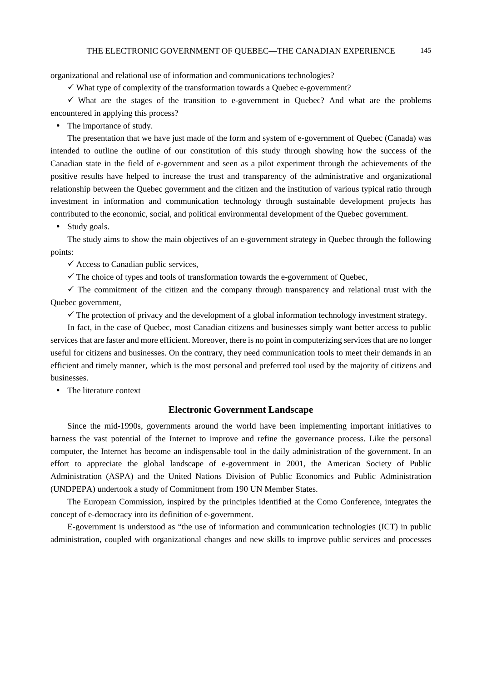organizational and relational use of information and communications technologies?

 $\checkmark$  What type of complexity of the transformation towards a Quebec e-government?

 $\checkmark$  What are the stages of the transition to e-government in Quebec? And what are the problems encountered in applying this process?

• The importance of study.

The presentation that we have just made of the form and system of e-government of Quebec (Canada) was intended to outline the outline of our constitution of this study through showing how the success of the Canadian state in the field of e-government and seen as a pilot experiment through the achievements of the positive results have helped to increase the trust and transparency of the administrative and organizational relationship between the Quebec government and the citizen and the institution of various typical ratio through investment in information and communication technology through sustainable development projects has contributed to the economic, social, and political environmental development of the Quebec government.

• Study goals.

The study aims to show the main objectives of an e-government strategy in Quebec through the following points:

 $\checkmark$  Access to Canadian public services,

 $\checkmark$  The choice of types and tools of transformation towards the e-government of Quebec,

 $\checkmark$  The commitment of the citizen and the company through transparency and relational trust with the Quebec government,

 $\checkmark$  The protection of privacy and the development of a global information technology investment strategy.

In fact, in the case of Quebec, most Canadian citizens and businesses simply want better access to public services that are faster and more efficient. Moreover, there is no point in computerizing services that are no longer useful for citizens and businesses. On the contrary, they need communication tools to meet their demands in an efficient and timely manner, which is the most personal and preferred tool used by the majority of citizens and businesses.

• The literature context

# **Electronic Government Landscape**

Since the mid-1990s, governments around the world have been implementing important initiatives to harness the vast potential of the Internet to improve and refine the governance process. Like the personal computer, the Internet has become an indispensable tool in the daily administration of the government. In an effort to appreciate the global landscape of e-government in 2001, the American Society of Public Administration (ASPA) and the United Nations Division of Public Economics and Public Administration (UNDPEPA) undertook a study of Commitment from 190 UN Member States.

The European Commission, inspired by the principles identified at the Como Conference, integrates the concept of e-democracy into its definition of e-government.

E-government is understood as "the use of information and communication technologies (ICT) in public administration, coupled with organizational changes and new skills to improve public services and processes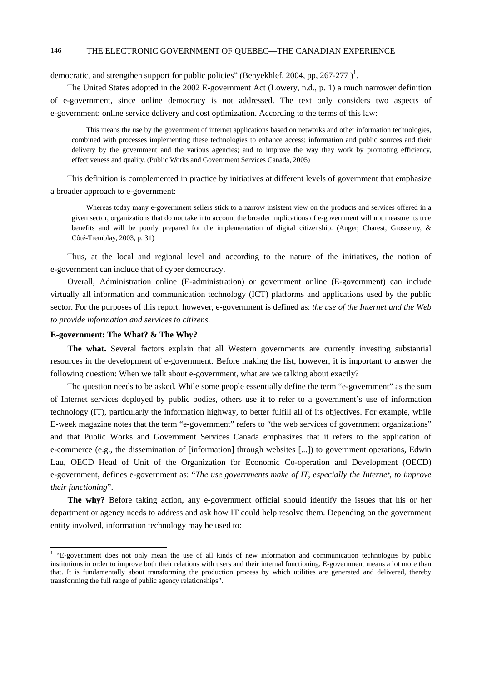democratic, and strengthen support for public policies" (Benyekhlef, 2004, pp, 267-277)<sup>1</sup>.

The United States adopted in the 2002 E-government Act (Lowery, n.d., p. 1) a much narrower definition of e-government, since online democracy is not addressed. The text only considers two aspects of e-government: online service delivery and cost optimization. According to the terms of this law:

This means the use by the government of internet applications based on networks and other information technologies, combined with processes implementing these technologies to enhance access; information and public sources and their delivery by the government and the various agencies; and to improve the way they work by promoting efficiency, effectiveness and quality. (Public Works and Government Services Canada, 2005)

This definition is complemented in practice by initiatives at different levels of government that emphasize a broader approach to e-government:

Whereas today many e-government sellers stick to a narrow insistent view on the products and services offered in a given sector, organizations that do not take into account the broader implications of e-government will not measure its true benefits and will be poorly prepared for the implementation of digital citizenship. (Auger, Charest, Grossemy, & Côté-Tremblay, 2003, p. 31)

Thus, at the local and regional level and according to the nature of the initiatives, the notion of e-government can include that of cyber democracy.

Overall, Administration online (E-administration) or government online (E-government) can include virtually all information and communication technology (ICT) platforms and applications used by the public sector. For the purposes of this report, however, e-government is defined as: *the use of the Internet and the Web to provide information and services to citizens.* 

# **E-government: The What? & The Why?**

 $\overline{a}$ 

**The what.** Several factors explain that all Western governments are currently investing substantial resources in the development of e-government. Before making the list, however, it is important to answer the following question: When we talk about e-government, what are we talking about exactly?

The question needs to be asked. While some people essentially define the term "e-government" as the sum of Internet services deployed by public bodies, others use it to refer to a government's use of information technology (IT), particularly the information highway, to better fulfill all of its objectives. For example, while E-week magazine notes that the term "e-government" refers to "the web services of government organizations" and that Public Works and Government Services Canada emphasizes that it refers to the application of e-commerce (e.g., the dissemination of [information] through websites [...]) to government operations, Edwin Lau, OECD Head of Unit of the Organization for Economic Co-operation and Development (OECD) e-government, defines e-government as: "*The use governments make of IT, especially the Internet, to improve their functioning*".

**The why?** Before taking action, any e-government official should identify the issues that his or her department or agency needs to address and ask how IT could help resolve them. Depending on the government entity involved, information technology may be used to:

<sup>&</sup>lt;sup>1</sup> "E-government does not only mean the use of all kinds of new information and communication technologies by public institutions in order to improve both their relations with users and their internal functioning. E-government means a lot more than that. It is fundamentally about transforming the production process by which utilities are generated and delivered, thereby transforming the full range of public agency relationships".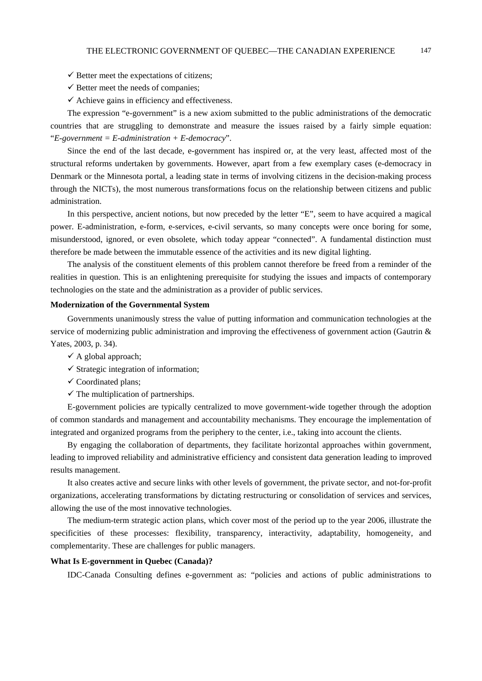- $\checkmark$  Better meet the expectations of citizens;
- $\checkmark$  Better meet the needs of companies;
- $\checkmark$  Achieve gains in efficiency and effectiveness.

The expression "e-government" is a new axiom submitted to the public administrations of the democratic countries that are struggling to demonstrate and measure the issues raised by a fairly simple equation: "*E-government = E-administration + E-democracy*".

Since the end of the last decade, e-government has inspired or, at the very least, affected most of the structural reforms undertaken by governments. However, apart from a few exemplary cases (e-democracy in Denmark or the Minnesota portal, a leading state in terms of involving citizens in the decision-making process through the NICTs), the most numerous transformations focus on the relationship between citizens and public administration.

In this perspective, ancient notions, but now preceded by the letter "E", seem to have acquired a magical power. E-administration, e-form, e-services, e-civil servants, so many concepts were once boring for some, misunderstood, ignored, or even obsolete, which today appear "connected". A fundamental distinction must therefore be made between the immutable essence of the activities and its new digital lighting.

The analysis of the constituent elements of this problem cannot therefore be freed from a reminder of the realities in question. This is an enlightening prerequisite for studying the issues and impacts of contemporary technologies on the state and the administration as a provider of public services.

# **Modernization of the Governmental System**

Governments unanimously stress the value of putting information and communication technologies at the service of modernizing public administration and improving the effectiveness of government action (Gautrin & Yates, 2003, p. 34).

- $\checkmark$  A global approach;
- $\checkmark$  Strategic integration of information:
- $\checkmark$  Coordinated plans;
- $\checkmark$  The multiplication of partnerships.

E-government policies are typically centralized to move government-wide together through the adoption of common standards and management and accountability mechanisms. They encourage the implementation of integrated and organized programs from the periphery to the center, i.e., taking into account the clients.

By engaging the collaboration of departments, they facilitate horizontal approaches within government, leading to improved reliability and administrative efficiency and consistent data generation leading to improved results management.

It also creates active and secure links with other levels of government, the private sector, and not-for-profit organizations, accelerating transformations by dictating restructuring or consolidation of services and services, allowing the use of the most innovative technologies.

The medium-term strategic action plans, which cover most of the period up to the year 2006, illustrate the specificities of these processes: flexibility, transparency, interactivity, adaptability, homogeneity, and complementarity. These are challenges for public managers.

### **What Is E-government in Quebec (Canada)?**

IDC-Canada Consulting defines e-government as: "policies and actions of public administrations to

147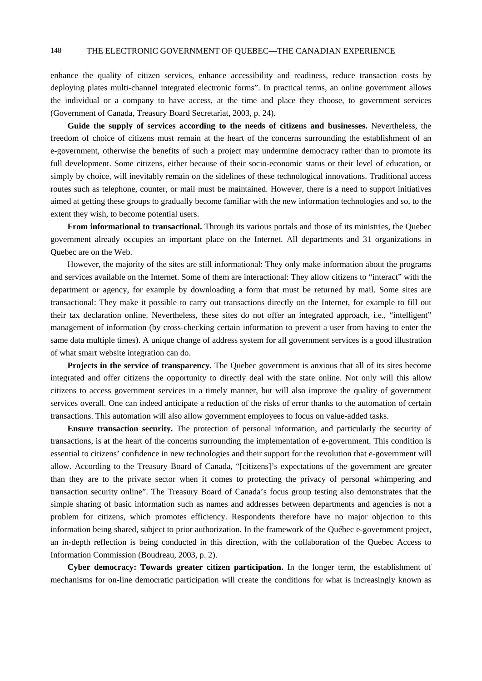enhance the quality of citizen services, enhance accessibility and readiness, reduce transaction costs by deploying plates multi-channel integrated electronic forms". In practical terms, an online government allows the individual or a company to have access, at the time and place they choose, to government services (Government of Canada, Treasury Board Secretariat, 2003, p. 24).

**Guide the supply of services according to the needs of citizens and businesses.** Nevertheless, the freedom of choice of citizens must remain at the heart of the concerns surrounding the establishment of an e-government, otherwise the benefits of such a project may undermine democracy rather than to promote its full development. Some citizens, either because of their socio-economic status or their level of education, or simply by choice, will inevitably remain on the sidelines of these technological innovations. Traditional access routes such as telephone, counter, or mail must be maintained. However, there is a need to support initiatives aimed at getting these groups to gradually become familiar with the new information technologies and so, to the extent they wish, to become potential users.

**From informational to transactional.** Through its various portals and those of its ministries, the Quebec government already occupies an important place on the Internet. All departments and 31 organizations in Quebec are on the Web.

However, the majority of the sites are still informational: They only make information about the programs and services available on the Internet. Some of them are interactional: They allow citizens to "interact" with the department or agency, for example by downloading a form that must be returned by mail. Some sites are transactional: They make it possible to carry out transactions directly on the Internet, for example to fill out their tax declaration online. Nevertheless, these sites do not offer an integrated approach, i.e., "intelligent" management of information (by cross-checking certain information to prevent a user from having to enter the same data multiple times). A unique change of address system for all government services is a good illustration of what smart website integration can do.

**Projects in the service of transparency.** The Quebec government is anxious that all of its sites become integrated and offer citizens the opportunity to directly deal with the state online. Not only will this allow citizens to access government services in a timely manner, but will also improve the quality of government services overall. One can indeed anticipate a reduction of the risks of error thanks to the automation of certain transactions. This automation will also allow government employees to focus on value-added tasks.

**Ensure transaction security.** The protection of personal information, and particularly the security of transactions, is at the heart of the concerns surrounding the implementation of e-government. This condition is essential to citizens' confidence in new technologies and their support for the revolution that e-government will allow. According to the Treasury Board of Canada, "[citizens]'s expectations of the government are greater than they are to the private sector when it comes to protecting the privacy of personal whimpering and transaction security online". The Treasury Board of Canada's focus group testing also demonstrates that the simple sharing of basic information such as names and addresses between departments and agencies is not a problem for citizens, which promotes efficiency. Respondents therefore have no major objection to this information being shared, subject to prior authorization. In the framework of the Québec e-government project, an in-depth reflection is being conducted in this direction, with the collaboration of the Quebec Access to Information Commission (Boudreau, 2003, p. 2).

**Cyber democracy: Towards greater citizen participation.** In the longer term, the establishment of mechanisms for on-line democratic participation will create the conditions for what is increasingly known as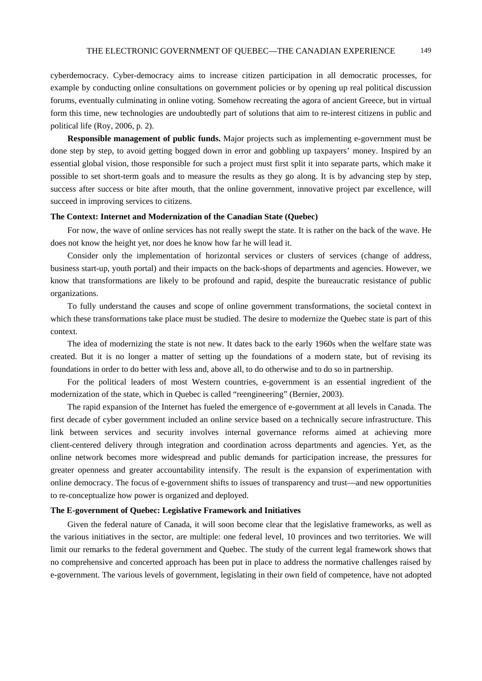cyberdemocracy. Cyber-democracy aims to increase citizen participation in all democratic processes, for example by conducting online consultations on government policies or by opening up real political discussion forums, eventually culminating in online voting. Somehow recreating the agora of ancient Greece, but in virtual form this time, new technologies are undoubtedly part of solutions that aim to re-interest citizens in public and political life (Roy, 2006, p. 2).

**Responsible management of public funds.** Major projects such as implementing e-government must be done step by step, to avoid getting bogged down in error and gobbling up taxpayers' money. Inspired by an essential global vision, those responsible for such a project must first split it into separate parts, which make it possible to set short-term goals and to measure the results as they go along. It is by advancing step by step, success after success or bite after mouth, that the online government, innovative project par excellence, will succeed in improving services to citizens.

# **The Context: Internet and Modernization of the Canadian State (Quebec)**

For now, the wave of online services has not really swept the state. It is rather on the back of the wave. He does not know the height yet, nor does he know how far he will lead it.

Consider only the implementation of horizontal services or clusters of services (change of address, business start-up, youth portal) and their impacts on the back-shops of departments and agencies. However, we know that transformations are likely to be profound and rapid, despite the bureaucratic resistance of public organizations.

To fully understand the causes and scope of online government transformations, the societal context in which these transformations take place must be studied. The desire to modernize the Quebec state is part of this context.

The idea of modernizing the state is not new. It dates back to the early 1960s when the welfare state was created. But it is no longer a matter of setting up the foundations of a modern state, but of revising its foundations in order to do better with less and, above all, to do otherwise and to do so in partnership.

For the political leaders of most Western countries, e-government is an essential ingredient of the modernization of the state, which in Quebec is called "reengineering" (Bernier, 2003).

The rapid expansion of the Internet has fueled the emergence of e-government at all levels in Canada. The first decade of cyber government included an online service based on a technically secure infrastructure. This link between services and security involves internal governance reforms aimed at achieving more client-centered delivery through integration and coordination across departments and agencies. Yet, as the online network becomes more widespread and public demands for participation increase, the pressures for greater openness and greater accountability intensify. The result is the expansion of experimentation with online democracy. The focus of e-government shifts to issues of transparency and trust—and new opportunities to re-conceptualize how power is organized and deployed.

# **The E-government of Quebec: Legislative Framework and Initiatives**

Given the federal nature of Canada, it will soon become clear that the legislative frameworks, as well as the various initiatives in the sector, are multiple: one federal level, 10 provinces and two territories. We will limit our remarks to the federal government and Quebec. The study of the current legal framework shows that no comprehensive and concerted approach has been put in place to address the normative challenges raised by e-government. The various levels of government, legislating in their own field of competence, have not adopted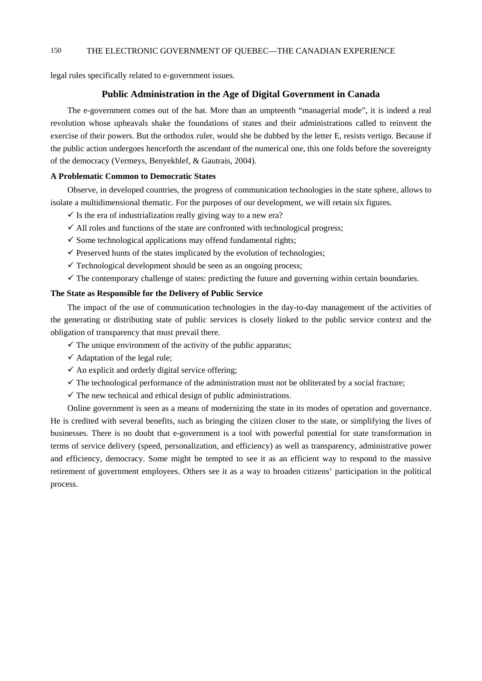legal rules specifically related to e-government issues.

# **Public Administration in the Age of Digital Government in Canada**

The e-government comes out of the hat. More than an umpteenth "managerial mode", it is indeed a real revolution whose upheavals shake the foundations of states and their administrations called to reinvent the exercise of their powers. But the orthodox ruler, would she be dubbed by the letter E, resists vertigo. Because if the public action undergoes henceforth the ascendant of the numerical one, this one folds before the sovereignty of the democracy (Vermeys, Benyekhlef, & Gautrais, 2004).

# **A Problematic Common to Democratic States**

Observe, in developed countries, the progress of communication technologies in the state sphere, allows to isolate a multidimensional thematic. For the purposes of our development, we will retain six figures.

- $\checkmark$  Is the era of industrialization really giving way to a new era?
- $\checkmark$  All roles and functions of the state are confronted with technological progress;
- $\checkmark$  Some technological applications may offend fundamental rights;
- $\checkmark$  Preserved hunts of the states implicated by the evolution of technologies;
- $\checkmark$  Technological development should be seen as an ongoing process;
- $\checkmark$  The contemporary challenge of states: predicting the future and governing within certain boundaries.

# **The State as Responsible for the Delivery of Public Service**

The impact of the use of communication technologies in the day-to-day management of the activities of the generating or distributing state of public services is closely linked to the public service context and the obligation of transparency that must prevail there.

- $\checkmark$  The unique environment of the activity of the public apparatus;
- $\checkmark$  Adaptation of the legal rule;
- $\checkmark$  An explicit and orderly digital service offering:
- $\checkmark$  The technological performance of the administration must not be obliterated by a social fracture;
- $\checkmark$  The new technical and ethical design of public administrations.

Online government is seen as a means of modernizing the state in its modes of operation and governance. He is credited with several benefits, such as bringing the citizen closer to the state, or simplifying the lives of businesses. There is no doubt that e-government is a tool with powerful potential for state transformation in terms of service delivery (speed, personalization, and efficiency) as well as transparency, administrative power and efficiency, democracy. Some might be tempted to see it as an efficient way to respond to the massive retirement of government employees. Others see it as a way to broaden citizens' participation in the political process.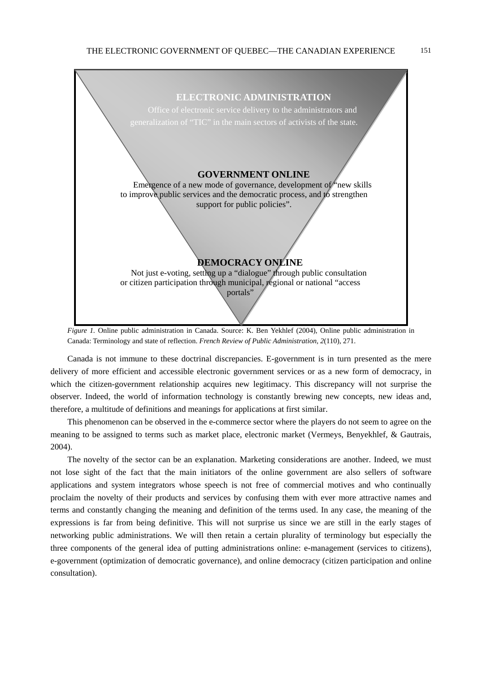

*Figure 1.* Online public administration in Canada. Source: K. Ben Yekhlef (2004), Online public administration in Canada: Terminology and state of reflection. *French Review of Public Administration, 2*(110), 271.

Canada is not immune to these doctrinal discrepancies. E-government is in turn presented as the mere delivery of more efficient and accessible electronic government services or as a new form of democracy, in which the citizen-government relationship acquires new legitimacy. This discrepancy will not surprise the observer. Indeed, the world of information technology is constantly brewing new concepts, new ideas and, therefore, a multitude of definitions and meanings for applications at first similar.

This phenomenon can be observed in the e-commerce sector where the players do not seem to agree on the meaning to be assigned to terms such as market place, electronic market (Vermeys, Benyekhlef, & Gautrais, 2004).

The novelty of the sector can be an explanation. Marketing considerations are another. Indeed, we must not lose sight of the fact that the main initiators of the online government are also sellers of software applications and system integrators whose speech is not free of commercial motives and who continually proclaim the novelty of their products and services by confusing them with ever more attractive names and terms and constantly changing the meaning and definition of the terms used. In any case, the meaning of the expressions is far from being definitive. This will not surprise us since we are still in the early stages of networking public administrations. We will then retain a certain plurality of terminology but especially the three components of the general idea of putting administrations online: e-management (services to citizens), e-government (optimization of democratic governance), and online democracy (citizen participation and online consultation).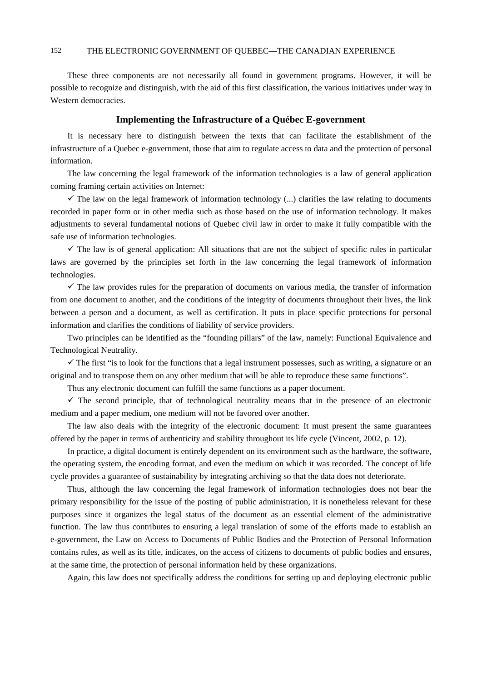These three components are not necessarily all found in government programs. However, it will be possible to recognize and distinguish, with the aid of this first classification, the various initiatives under way in Western democracies.

# **Implementing the Infrastructure of a Québec E-government**

It is necessary here to distinguish between the texts that can facilitate the establishment of the infrastructure of a Quebec e-government, those that aim to regulate access to data and the protection of personal information.

The law concerning the legal framework of the information technologies is a law of general application coming framing certain activities on Internet:

 $\checkmark$  The law on the legal framework of information technology (...) clarifies the law relating to documents recorded in paper form or in other media such as those based on the use of information technology. It makes adjustments to several fundamental notions of Quebec civil law in order to make it fully compatible with the safe use of information technologies.

 $\checkmark$  The law is of general application: All situations that are not the subject of specific rules in particular laws are governed by the principles set forth in the law concerning the legal framework of information technologies.

 $\checkmark$  The law provides rules for the preparation of documents on various media, the transfer of information from one document to another, and the conditions of the integrity of documents throughout their lives, the link between a person and a document, as well as certification. It puts in place specific protections for personal information and clarifies the conditions of liability of service providers.

Two principles can be identified as the "founding pillars" of the law, namely: Functional Equivalence and Technological Neutrality.

 $\checkmark$  The first "is to look for the functions that a legal instrument possesses, such as writing, a signature or an original and to transpose them on any other medium that will be able to reproduce these same functions".

Thus any electronic document can fulfill the same functions as a paper document.

 $\checkmark$  The second principle, that of technological neutrality means that in the presence of an electronic medium and a paper medium, one medium will not be favored over another.

The law also deals with the integrity of the electronic document: It must present the same guarantees offered by the paper in terms of authenticity and stability throughout its life cycle (Vincent, 2002, p. 12).

In practice, a digital document is entirely dependent on its environment such as the hardware, the software, the operating system, the encoding format, and even the medium on which it was recorded. The concept of life cycle provides a guarantee of sustainability by integrating archiving so that the data does not deteriorate.

Thus, although the law concerning the legal framework of information technologies does not bear the primary responsibility for the issue of the posting of public administration, it is nonetheless relevant for these purposes since it organizes the legal status of the document as an essential element of the administrative function. The law thus contributes to ensuring a legal translation of some of the efforts made to establish an e-government, the Law on Access to Documents of Public Bodies and the Protection of Personal Information contains rules, as well as its title, indicates, on the access of citizens to documents of public bodies and ensures, at the same time, the protection of personal information held by these organizations.

Again, this law does not specifically address the conditions for setting up and deploying electronic public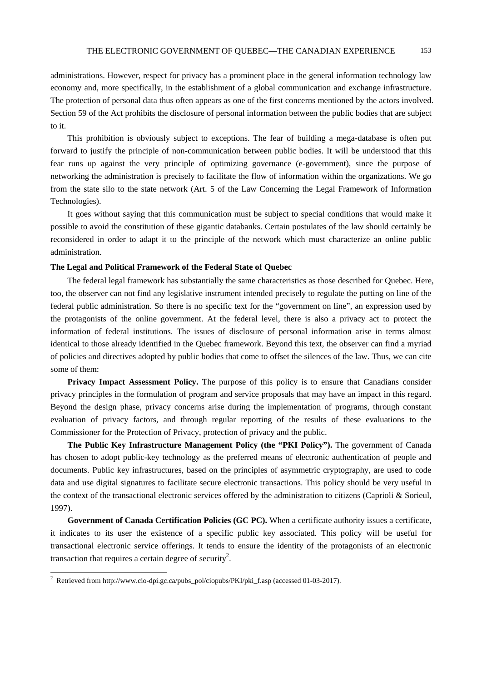administrations. However, respect for privacy has a prominent place in the general information technology law economy and, more specifically, in the establishment of a global communication and exchange infrastructure. The protection of personal data thus often appears as one of the first concerns mentioned by the actors involved. Section 59 of the Act prohibits the disclosure of personal information between the public bodies that are subject to it.

This prohibition is obviously subject to exceptions. The fear of building a mega-database is often put forward to justify the principle of non-communication between public bodies. It will be understood that this fear runs up against the very principle of optimizing governance (e-government), since the purpose of networking the administration is precisely to facilitate the flow of information within the organizations. We go from the state silo to the state network (Art. 5 of the Law Concerning the Legal Framework of Information Technologies).

It goes without saying that this communication must be subject to special conditions that would make it possible to avoid the constitution of these gigantic databanks. Certain postulates of the law should certainly be reconsidered in order to adapt it to the principle of the network which must characterize an online public administration.

# **The Legal and Political Framework of the Federal State of Quebec**

The federal legal framework has substantially the same characteristics as those described for Quebec. Here, too, the observer can not find any legislative instrument intended precisely to regulate the putting on line of the federal public administration. So there is no specific text for the "government on line", an expression used by the protagonists of the online government. At the federal level, there is also a privacy act to protect the information of federal institutions. The issues of disclosure of personal information arise in terms almost identical to those already identified in the Quebec framework. Beyond this text, the observer can find a myriad of policies and directives adopted by public bodies that come to offset the silences of the law. Thus, we can cite some of them:

**Privacy Impact Assessment Policy.** The purpose of this policy is to ensure that Canadians consider privacy principles in the formulation of program and service proposals that may have an impact in this regard. Beyond the design phase, privacy concerns arise during the implementation of programs, through constant evaluation of privacy factors, and through regular reporting of the results of these evaluations to the Commissioner for the Protection of Privacy, protection of privacy and the public.

**The Public Key Infrastructure Management Policy (the "PKI Policy").** The government of Canada has chosen to adopt public-key technology as the preferred means of electronic authentication of people and documents. Public key infrastructures, based on the principles of asymmetric cryptography, are used to code data and use digital signatures to facilitate secure electronic transactions. This policy should be very useful in the context of the transactional electronic services offered by the administration to citizens (Caprioli & Sorieul, 1997).

**Government of Canada Certification Policies (GC PC).** When a certificate authority issues a certificate, it indicates to its user the existence of a specific public key associated. This policy will be useful for transactional electronic service offerings. It tends to ensure the identity of the protagonists of an electronic transaction that requires a certain degree of security<sup>2</sup>.

 2 Retrieved from http://www.cio-dpi.gc.ca/pubs\_pol/ciopubs/PKI/pki\_f.asp (accessed 01-03-2017).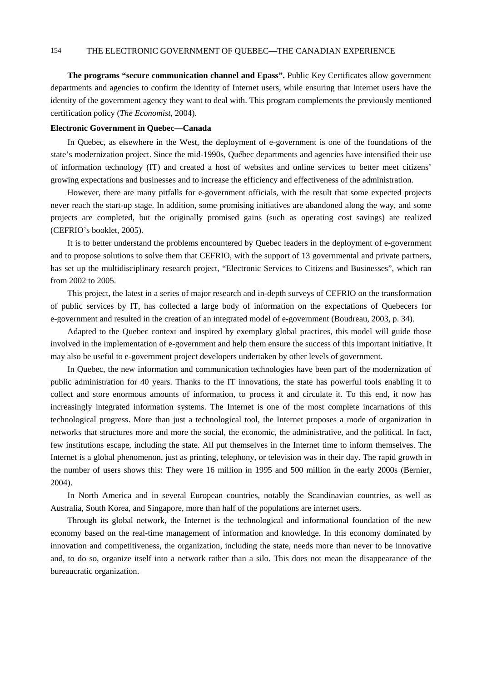**The programs "secure communication channel and Epass".** Public Key Certificates allow government departments and agencies to confirm the identity of Internet users, while ensuring that Internet users have the identity of the government agency they want to deal with. This program complements the previously mentioned certification policy (*The Economist*, 2004).

### **Electronic Government in Quebec—Canada**

In Quebec, as elsewhere in the West, the deployment of e-government is one of the foundations of the state's modernization project. Since the mid-1990s, Québec departments and agencies have intensified their use of information technology (IT) and created a host of websites and online services to better meet citizens' growing expectations and businesses and to increase the efficiency and effectiveness of the administration.

However, there are many pitfalls for e-government officials, with the result that some expected projects never reach the start-up stage. In addition, some promising initiatives are abandoned along the way, and some projects are completed, but the originally promised gains (such as operating cost savings) are realized (CEFRIO's booklet, 2005).

It is to better understand the problems encountered by Quebec leaders in the deployment of e-government and to propose solutions to solve them that CEFRIO, with the support of 13 governmental and private partners, has set up the multidisciplinary research project, "Electronic Services to Citizens and Businesses", which ran from 2002 to 2005.

This project, the latest in a series of major research and in-depth surveys of CEFRIO on the transformation of public services by IT, has collected a large body of information on the expectations of Quebecers for e-government and resulted in the creation of an integrated model of e-government (Boudreau, 2003, p. 34).

Adapted to the Quebec context and inspired by exemplary global practices, this model will guide those involved in the implementation of e-government and help them ensure the success of this important initiative. It may also be useful to e-government project developers undertaken by other levels of government.

In Quebec, the new information and communication technologies have been part of the modernization of public administration for 40 years. Thanks to the IT innovations, the state has powerful tools enabling it to collect and store enormous amounts of information, to process it and circulate it. To this end, it now has increasingly integrated information systems. The Internet is one of the most complete incarnations of this technological progress. More than just a technological tool, the Internet proposes a mode of organization in networks that structures more and more the social, the economic, the administrative, and the political. In fact, few institutions escape, including the state. All put themselves in the Internet time to inform themselves. The Internet is a global phenomenon, just as printing, telephony, or television was in their day. The rapid growth in the number of users shows this: They were 16 million in 1995 and 500 million in the early 2000s (Bernier, 2004).

In North America and in several European countries, notably the Scandinavian countries, as well as Australia, South Korea, and Singapore, more than half of the populations are internet users.

Through its global network, the Internet is the technological and informational foundation of the new economy based on the real-time management of information and knowledge. In this economy dominated by innovation and competitiveness, the organization, including the state, needs more than never to be innovative and, to do so, organize itself into a network rather than a silo. This does not mean the disappearance of the bureaucratic organization.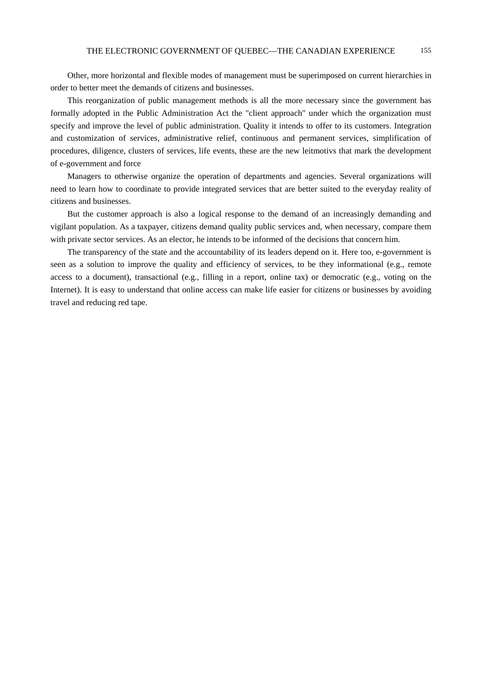Other, more horizontal and flexible modes of management must be superimposed on current hierarchies in order to better meet the demands of citizens and businesses.

This reorganization of public management methods is all the more necessary since the government has formally adopted in the Public Administration Act the "client approach" under which the organization must specify and improve the level of public administration. Quality it intends to offer to its customers. Integration and customization of services, administrative relief, continuous and permanent services, simplification of procedures, diligence, clusters of services, life events, these are the new leitmotivs that mark the development of e-government and force

Managers to otherwise organize the operation of departments and agencies. Several organizations will need to learn how to coordinate to provide integrated services that are better suited to the everyday reality of citizens and businesses.

But the customer approach is also a logical response to the demand of an increasingly demanding and vigilant population. As a taxpayer, citizens demand quality public services and, when necessary, compare them with private sector services. As an elector, he intends to be informed of the decisions that concern him.

The transparency of the state and the accountability of its leaders depend on it. Here too, e-government is seen as a solution to improve the quality and efficiency of services, to be they informational (e.g., remote access to a document), transactional (e.g., filling in a report, online tax) or democratic (e.g., voting on the Internet). It is easy to understand that online access can make life easier for citizens or businesses by avoiding travel and reducing red tape.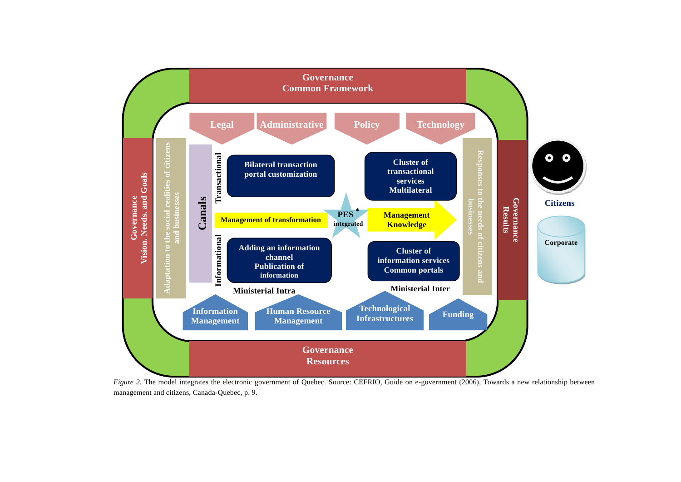

*Figure 2.* The model integrates the electronic government of Quebec. Source: CEFRIO, Guide on e-government (2006), Towards a new relationship between management and citizens, Canada-Quebec, p. 9.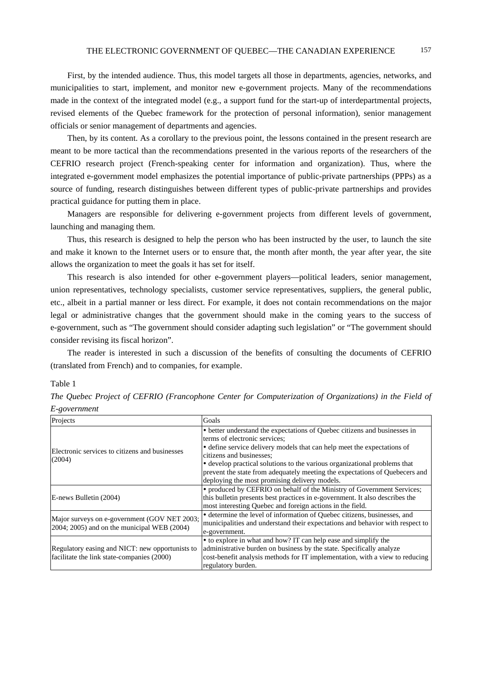First, by the intended audience. Thus, this model targets all those in departments, agencies, networks, and municipalities to start, implement, and monitor new e-government projects. Many of the recommendations made in the context of the integrated model (e.g., a support fund for the start-up of interdepartmental projects, revised elements of the Quebec framework for the protection of personal information), senior management officials or senior management of departments and agencies.

Then, by its content. As a corollary to the previous point, the lessons contained in the present research are meant to be more tactical than the recommendations presented in the various reports of the researchers of the CEFRIO research project (French-speaking center for information and organization). Thus, where the integrated e-government model emphasizes the potential importance of public-private partnerships (PPPs) as a source of funding, research distinguishes between different types of public-private partnerships and provides practical guidance for putting them in place.

Managers are responsible for delivering e-government projects from different levels of government, launching and managing them.

Thus, this research is designed to help the person who has been instructed by the user, to launch the site and make it known to the Internet users or to ensure that, the month after month, the year after year, the site allows the organization to meet the goals it has set for itself.

This research is also intended for other e-government players—political leaders, senior management, union representatives, technology specialists, customer service representatives, suppliers, the general public, etc., albeit in a partial manner or less direct. For example, it does not contain recommendations on the major legal or administrative changes that the government should make in the coming years to the success of e-government, such as "The government should consider adapting such legislation" or "The government should consider revising its fiscal horizon".

The reader is interested in such a discussion of the benefits of consulting the documents of CEFRIO (translated from French) and to companies, for example.

### Table 1

| The Quebec Project of CEFRIO (Francophone Center for Computerization of Organizations) in the Field of |  |  |
|--------------------------------------------------------------------------------------------------------|--|--|
| E-government                                                                                           |  |  |

| Projects                                                                                            | Goals                                                                         |  |
|-----------------------------------------------------------------------------------------------------|-------------------------------------------------------------------------------|--|
| Electronic services to citizens and businesses<br>(2004)                                            | • better understand the expectations of Quebec citizens and businesses in     |  |
|                                                                                                     | terms of electronic services:                                                 |  |
|                                                                                                     | • define service delivery models that can help meet the expectations of       |  |
|                                                                                                     | citizens and businesses:                                                      |  |
|                                                                                                     | • develop practical solutions to the various organizational problems that     |  |
|                                                                                                     | prevent the state from adequately meeting the expectations of Quebecers and   |  |
|                                                                                                     | deploying the most promising delivery models.                                 |  |
| E-news Bulletin (2004)                                                                              | • produced by CEFRIO on behalf of the Ministry of Government Services;        |  |
|                                                                                                     | this bulletin presents best practices in e-government. It also describes the  |  |
|                                                                                                     | most interesting Quebec and foreign actions in the field.                     |  |
| Major surveys on e-government (GOV NET 2003;<br>$2004$ ; $2005$ ) and on the municipal WEB $(2004)$ | • determine the level of information of Quebec citizens, businesses, and      |  |
|                                                                                                     | municipalities and understand their expectations and behavior with respect to |  |
|                                                                                                     | e-government.                                                                 |  |
|                                                                                                     | • to explore in what and how? IT can help ease and simplify the               |  |
| Regulatory easing and NICT: new opportunists to                                                     | administrative burden on business by the state. Specifically analyze          |  |
| facilitate the link state-companies (2000)                                                          | cost-benefit analysis methods for IT implementation, with a view to reducing  |  |
|                                                                                                     | regulatory burden.                                                            |  |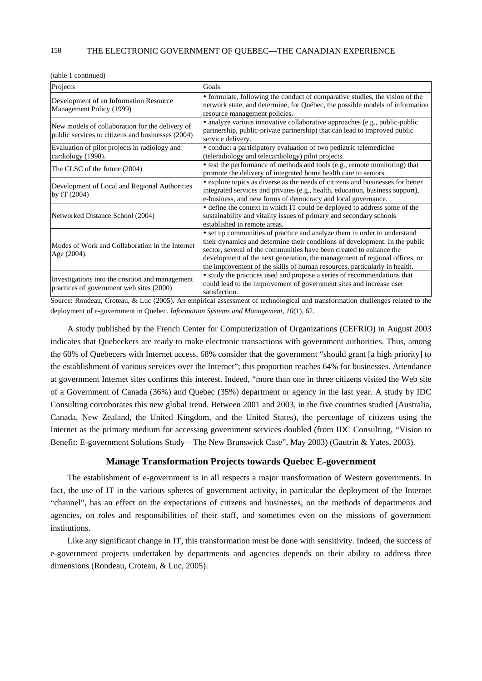(table 1 continued)

| Projects                                                                                             | Goals                                                                                                                                                                                                                                                                                                                                                                                     |  |
|------------------------------------------------------------------------------------------------------|-------------------------------------------------------------------------------------------------------------------------------------------------------------------------------------------------------------------------------------------------------------------------------------------------------------------------------------------------------------------------------------------|--|
| Development of an Information Resource<br>Management Policy (1999)                                   | • formulate, following the conduct of comparative studies, the vision of the<br>network state, and determine, for Québec, the possible models of information<br>resource management policies.                                                                                                                                                                                             |  |
| New models of collaboration for the delivery of<br>public services to citizens and businesses (2004) | · analyze various innovative collaborative approaches (e.g., public-public<br>partnership, public-private partnership) that can lead to improved public<br>service delivery.                                                                                                                                                                                                              |  |
| Evaluation of pilot projects in radiology and<br>cardiology (1998).                                  | • conduct a participatory evaluation of two pediatric telemedicine<br>(teleradiology and telecardiology) pilot projects.                                                                                                                                                                                                                                                                  |  |
| The CLSC of the future (2004)                                                                        | • test the performance of methods and tools (e.g., remote monitoring) that<br>promote the delivery of integrated home health care to seniors.                                                                                                                                                                                                                                             |  |
| Development of Local and Regional Authorities<br>by IT (2004)                                        | • explore topics as diverse as the needs of citizens and businesses for better<br>integrated services and privates (e.g., health, education, business support),<br>e-business, and new forms of democracy and local governance.                                                                                                                                                           |  |
| Networked Distance School (2004)                                                                     | • define the context in which IT could be deployed to address some of the<br>sustainability and vitality issues of primary and secondary schools<br>established in remote areas.                                                                                                                                                                                                          |  |
| Modes of Work and Collaboration in the Internet<br>Age (2004).                                       | • set up communities of practice and analyze them in order to understand<br>their dynamics and determine their conditions of development. In the public<br>sector, several of the communities have been created to enhance the<br>development of the next generation, the management of regional offices, or<br>the improvement of the skills of human resources, particularly in health. |  |
| Investigations into the creation and management<br>practices of government web sites (2000)          | • study the practices used and propose a series of recommendations that<br>could lead to the improvement of government sites and increase user<br>satisfaction.                                                                                                                                                                                                                           |  |

Source: Rondeau, Croteau, & Luc (2005). An empirical assessment of technological and transformation challenges related to the deployment of e-government in Quebec. *Information Systems and Management, 10*(1), 62.

A study published by the French Center for Computerization of Organizations (CEFRIO) in August 2003 indicates that Quebeckers are ready to make electronic transactions with government authorities. Thus, among the 60% of Quebecers with Internet access, 68% consider that the government "should grant [a high priority] to the establishment of various services over the Internet"; this proportion reaches 64% for businesses. Attendance at government Internet sites confirms this interest. Indeed, "more than one in three citizens visited the Web site of a Government of Canada (36%) and Quebec (35%) department or agency in the last year. A study by IDC Consulting corroborates this new global trend. Between 2001 and 2003, in the five countries studied (Australia, Canada, New Zealand, the United Kingdom, and the United States), the percentage of citizens using the Internet as the primary medium for accessing government services doubled (from IDC Consulting, "Vision to Benefit: E-government Solutions Study—The New Brunswick Case", May 2003) (Gautrin & Yates, 2003).

# **Manage Transformation Projects towards Quebec E-government**

The establishment of e-government is in all respects a major transformation of Western governments. In fact, the use of IT in the various spheres of government activity, in particular the deployment of the Internet "channel", has an effect on the expectations of citizens and businesses, on the methods of departments and agencies, on roles and responsibilities of their staff, and sometimes even on the missions of government institutions.

Like any significant change in IT, this transformation must be done with sensitivity. Indeed, the success of e-government projects undertaken by departments and agencies depends on their ability to address three dimensions (Rondeau, Croteau, & Luc, 2005):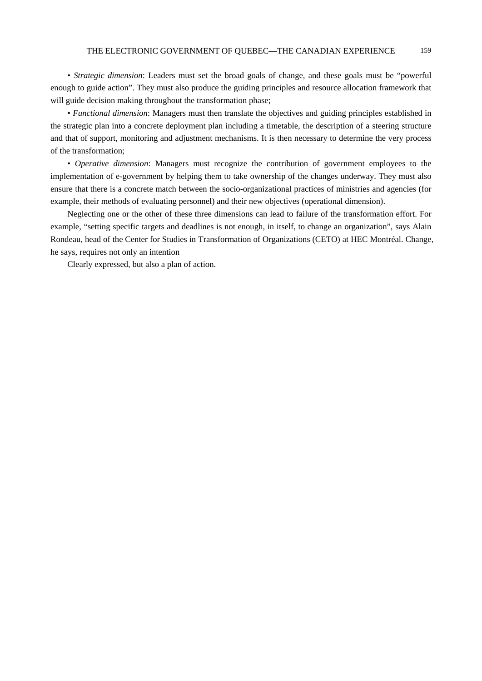*• Strategic dimension*: Leaders must set the broad goals of change, and these goals must be "powerful enough to guide action". They must also produce the guiding principles and resource allocation framework that will guide decision making throughout the transformation phase;

*• Functional dimension*: Managers must then translate the objectives and guiding principles established in the strategic plan into a concrete deployment plan including a timetable, the description of a steering structure and that of support, monitoring and adjustment mechanisms. It is then necessary to determine the very process of the transformation;

*• Operative dimension*: Managers must recognize the contribution of government employees to the implementation of e-government by helping them to take ownership of the changes underway. They must also ensure that there is a concrete match between the socio-organizational practices of ministries and agencies (for example, their methods of evaluating personnel) and their new objectives (operational dimension).

Neglecting one or the other of these three dimensions can lead to failure of the transformation effort. For example, "setting specific targets and deadlines is not enough, in itself, to change an organization", says Alain Rondeau, head of the Center for Studies in Transformation of Organizations (CETO) at HEC Montréal. Change, he says, requires not only an intention

Clearly expressed, but also a plan of action.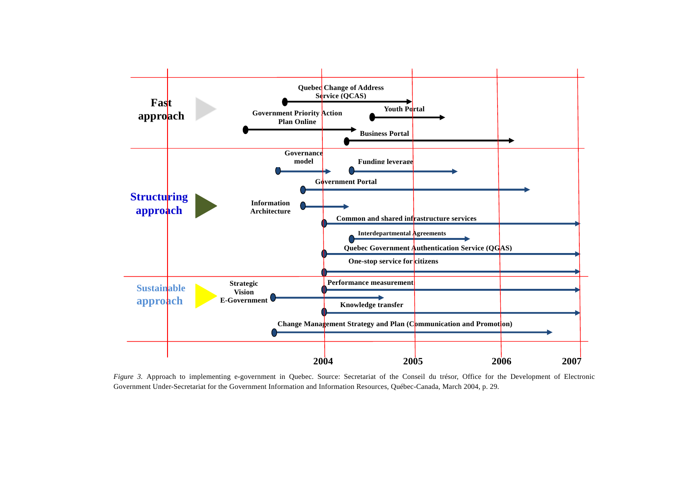

*Figure 3.* Approach to implementing e-government in Quebec. Source: Secretariat of the Conseil du trésor, Office for the Development of Electronic Government Under-Secretariat for the Government Information and Information Resources, Québec-Canada, March 2004, p. 29.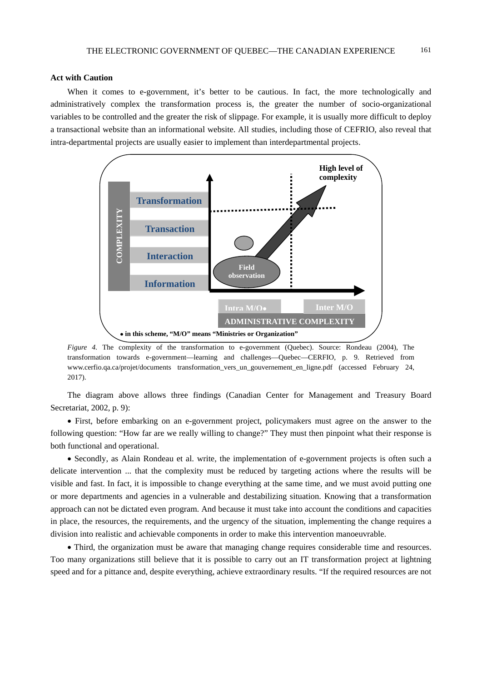# **Act with Caution**

When it comes to e-government, it's better to be cautious. In fact, the more technologically and administratively complex the transformation process is, the greater the number of socio-organizational variables to be controlled and the greater the risk of slippage. For example, it is usually more difficult to deploy a transactional website than an informational website. All studies, including those of CEFRIO, also reveal that intra-departmental projects are usually easier to implement than interdepartmental projects.



*Figure 4.* The complexity of the transformation to e-government (Quebec). Source: Rondeau (2004), The transformation towards e-government—learning and challenges—Quebec—CERFIO, p. 9. Retrieved from www.cerfio.qa.ca/projet/documents transformation\_vers\_un\_gouvernement\_en\_ligne.pdf (accessed February 24, 2017).

The diagram above allows three findings (Canadian Center for Management and Treasury Board Secretariat, 2002, p. 9):

 First, before embarking on an e-government project, policymakers must agree on the answer to the following question: "How far are we really willing to change?" They must then pinpoint what their response is both functional and operational.

 Secondly, as Alain Rondeau et al. write, the implementation of e-government projects is often such a delicate intervention ... that the complexity must be reduced by targeting actions where the results will be visible and fast. In fact, it is impossible to change everything at the same time, and we must avoid putting one or more departments and agencies in a vulnerable and destabilizing situation. Knowing that a transformation approach can not be dictated even program. And because it must take into account the conditions and capacities in place, the resources, the requirements, and the urgency of the situation, implementing the change requires a division into realistic and achievable components in order to make this intervention manoeuvrable.

 Third, the organization must be aware that managing change requires considerable time and resources. Too many organizations still believe that it is possible to carry out an IT transformation project at lightning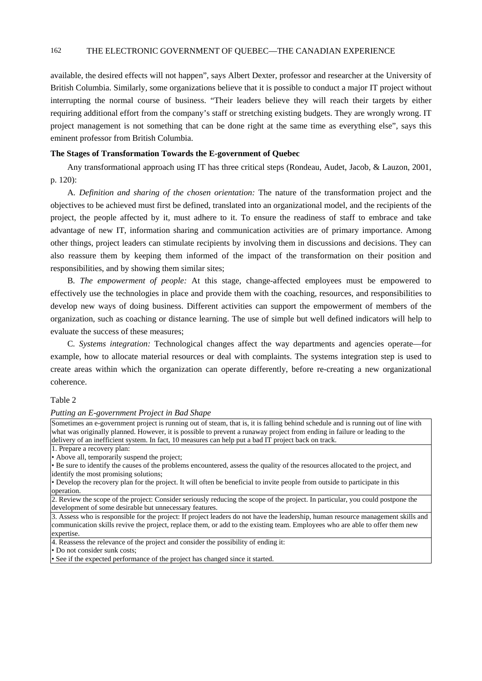available, the desired effects will not happen", says Albert Dexter, professor and researcher at the University of British Columbia. Similarly, some organizations believe that it is possible to conduct a major IT project without interrupting the normal course of business. "Their leaders believe they will reach their targets by either requiring additional effort from the company's staff or stretching existing budgets. They are wrongly wrong. IT project management is not something that can be done right at the same time as everything else", says this eminent professor from British Columbia.

# **The Stages of Transformation Towards the E-government of Quebec**

Any transformational approach using IT has three critical steps (Rondeau, Audet, Jacob, & Lauzon, 2001, p. 120):

A*. Definition and sharing of the chosen orientation:* The nature of the transformation project and the objectives to be achieved must first be defined, translated into an organizational model, and the recipients of the project, the people affected by it, must adhere to it. To ensure the readiness of staff to embrace and take advantage of new IT, information sharing and communication activities are of primary importance. Among other things, project leaders can stimulate recipients by involving them in discussions and decisions. They can also reassure them by keeping them informed of the impact of the transformation on their position and responsibilities, and by showing them similar sites;

B*. The empowerment of people:* At this stage, change-affected employees must be empowered to effectively use the technologies in place and provide them with the coaching, resources, and responsibilities to develop new ways of doing business. Different activities can support the empowerment of members of the organization, such as coaching or distance learning. The use of simple but well defined indicators will help to evaluate the success of these measures;

C*. Systems integration:* Technological changes affect the way departments and agencies operate—for example, how to allocate material resources or deal with complaints. The systems integration step is used to create areas within which the organization can operate differently, before re-creating a new organizational coherence.

### Table 2

### *Putting an E-government Project in Bad Shape*

Sometimes an e-government project is running out of steam, that is, it is falling behind schedule and is running out of line with what was originally planned. However, it is possible to prevent a runaway project from ending in failure or leading to the delivery of an inefficient system. In fact, 10 measures can help put a bad IT project back on track. 1. Prepare a recovery plan: • Above all, temporarily suspend the project; • Be sure to identify the causes of the problems encountered, assess the quality of the resources allocated to the project, and identify the most promising solutions; • Develop the recovery plan for the project. It will often be beneficial to invite people from outside to participate in this operation. 2. Review the scope of the project: Consider seriously reducing the scope of the project. In particular, you could postpone the development of some desirable but unnecessary features. 3. Assess who is responsible for the project: If project leaders do not have the leadership, human resource management skills and communication skills revive the project, replace them, or add to the existing team. Employees who are able to offer them new expertise. 4. Reassess the relevance of the project and consider the possibility of ending it: • Do not consider sunk costs;

• See if the expected performance of the project has changed since it started.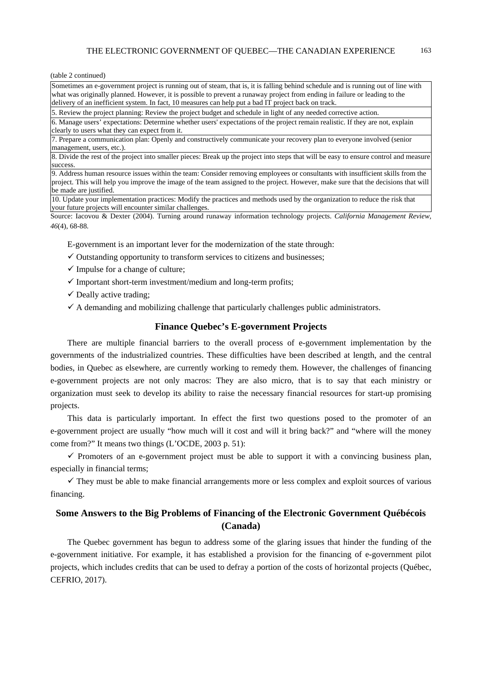(table 2 continued)

Sometimes an e-government project is running out of steam, that is, it is falling behind schedule and is running out of line with what was originally planned. However, it is possible to prevent a runaway project from ending in failure or leading to the delivery of an inefficient system. In fact, 10 measures can help put a bad IT project back on track.

5. Review the project planning: Review the project budget and schedule in light of any needed corrective action.

6. Manage users' expectations: Determine whether users' expectations of the project remain realistic. If they are not, explain clearly to users what they can expect from it.

7. Prepare a communication plan: Openly and constructively communicate your recovery plan to everyone involved (senior management, users, etc.).

8. Divide the rest of the project into smaller pieces: Break up the project into steps that will be easy to ensure control and measure success.

9. Address human resource issues within the team: Consider removing employees or consultants with insufficient skills from the project. This will help you improve the image of the team assigned to the project. However, make sure that the decisions that will be made are justified.

10. Update your implementation practices: Modify the practices and methods used by the organization to reduce the risk that your future projects will encounter similar challenges.

Source: Iacovou & Dexter (2004). Turning around runaway information technology projects. *California Management Review, 46*(4), 68-88.

E-government is an important lever for the modernization of the state through:

- $\checkmark$  Outstanding opportunity to transform services to citizens and businesses:
- $\checkmark$  Impulse for a change of culture;
- $\checkmark$  Important short-term investment/medium and long-term profits;
- $\checkmark$  Deally active trading;
- $\checkmark$  A demanding and mobilizing challenge that particularly challenges public administrators.

# **Finance Quebec's E-government Projects**

There are multiple financial barriers to the overall process of e-government implementation by the governments of the industrialized countries. These difficulties have been described at length, and the central bodies, in Quebec as elsewhere, are currently working to remedy them. However, the challenges of financing e-government projects are not only macros: They are also micro, that is to say that each ministry or organization must seek to develop its ability to raise the necessary financial resources for start-up promising projects.

This data is particularly important. In effect the first two questions posed to the promoter of an e-government project are usually "how much will it cost and will it bring back?" and "where will the money come from?" It means two things (L'OCDE, 2003 p. 51):

 $\checkmark$  Promoters of an e-government project must be able to support it with a convincing business plan, especially in financial terms;

 $\checkmark$  They must be able to make financial arrangements more or less complex and exploit sources of various financing.

# **Some Answers to the Big Problems of Financing of the Electronic Government Québécois (Canada)**

The Quebec government has begun to address some of the glaring issues that hinder the funding of the e-government initiative. For example, it has established a provision for the financing of e-government pilot projects, which includes credits that can be used to defray a portion of the costs of horizontal projects (Québec, CEFRIO, 2017).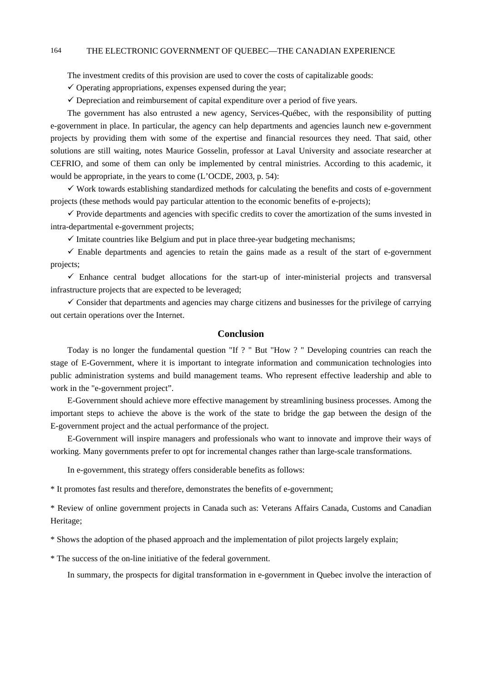The investment credits of this provision are used to cover the costs of capitalizable goods:

 $\checkmark$  Operating appropriations, expenses expensed during the year;

 $\checkmark$  Depreciation and reimbursement of capital expenditure over a period of five years.

The government has also entrusted a new agency, Services-Québec, with the responsibility of putting e-government in place. In particular, the agency can help departments and agencies launch new e-government projects by providing them with some of the expertise and financial resources they need. That said, other solutions are still waiting, notes Maurice Gosselin, professor at Laval University and associate researcher at CEFRIO, and some of them can only be implemented by central ministries. According to this academic, it would be appropriate, in the years to come (L'OCDE, 2003, p. 54):

 $\checkmark$  Work towards establishing standardized methods for calculating the benefits and costs of e-government projects (these methods would pay particular attention to the economic benefits of e-projects);

 $\checkmark$  Provide departments and agencies with specific credits to cover the amortization of the sums invested in intra-departmental e-government projects;

 $\checkmark$  Imitate countries like Belgium and put in place three-year budgeting mechanisms;

 $\checkmark$  Enable departments and agencies to retain the gains made as a result of the start of e-government projects;

 $\checkmark$  Enhance central budget allocations for the start-up of inter-ministerial projects and transversal infrastructure projects that are expected to be leveraged;

 $\checkmark$  Consider that departments and agencies may charge citizens and businesses for the privilege of carrying out certain operations over the Internet.

# **Conclusion**

Today is no longer the fundamental question "If ? " But "How ? " Developing countries can reach the stage of E-Government, where it is important to integrate information and communication technologies into public administration systems and build management teams. Who represent effective leadership and able to work in the "e-government project".

E-Government should achieve more effective management by streamlining business processes. Among the important steps to achieve the above is the work of the state to bridge the gap between the design of the E-government project and the actual performance of the project.

E-Government will inspire managers and professionals who want to innovate and improve their ways of working. Many governments prefer to opt for incremental changes rather than large-scale transformations.

In e-government, this strategy offers considerable benefits as follows:

\* It promotes fast results and therefore, demonstrates the benefits of e-government;

\* Review of online government projects in Canada such as: Veterans Affairs Canada, Customs and Canadian Heritage;

\* Shows the adoption of the phased approach and the implementation of pilot projects largely explain;

\* The success of the on-line initiative of the federal government.

In summary, the prospects for digital transformation in e-government in Quebec involve the interaction of